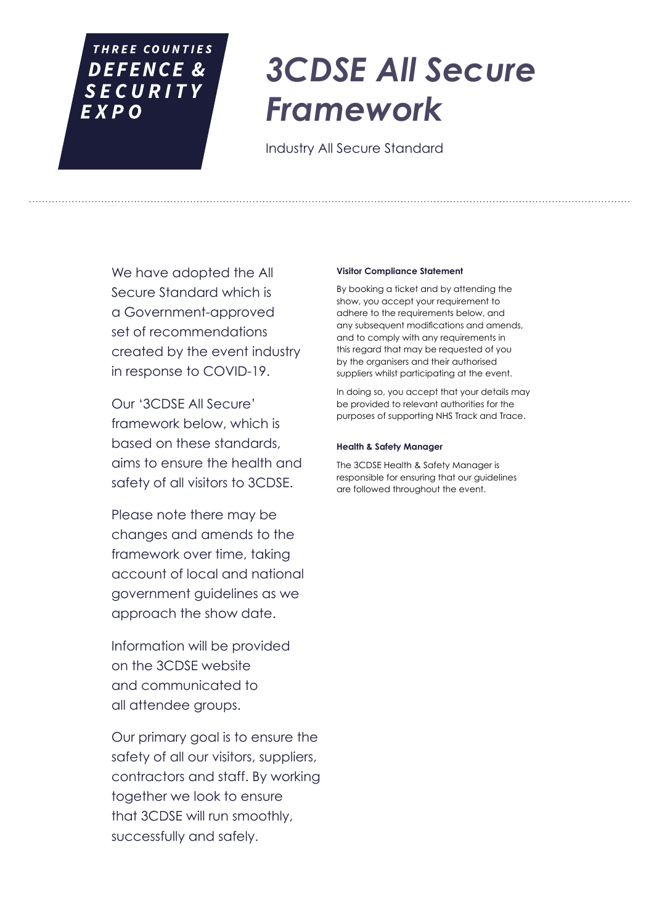### THREE COUNTIES DEFENCE & **SECURITY**  $EXPO$

# *3CDSE All Secure Framework*

Industry All Secure Standard

We have adopted the All Secure Standard which is a Government-approved set of recommendations created by the event industry in response to COVID-19.

Our '3CDSE All Secure' framework below, which is based on these standards, aims to ensure the health and safety of all visitors to 3CDSE.

Please note there may be changes and amends to the framework over time, taking account of local and national government guidelines as we approach the show date.

Information will be provided on the 3CDSE website and communicated to all attendee groups.

Our primary goal is to ensure the safety of all our visitors, suppliers, contractors and staff. By working together we look to ensure that 3CDSE will run smoothly, successfully and safely.

#### **Visitor Compliance Statement**

By booking a ticket and by attending the show, you accept your requirement to adhere to the requirements below, and any subsequent modifications and amends, and to comply with any requirements in this regard that may be requested of you by the organisers and their authorised suppliers whilst participating at the event.

In doing so, you accept that your details may be provided to relevant authorities for the purposes of supporting NHS Track and Trace.

#### **Health & Safety Manager**

The 3CDSE Health & Safety Manager is responsible for ensuring that our guidelines are followed throughout the event.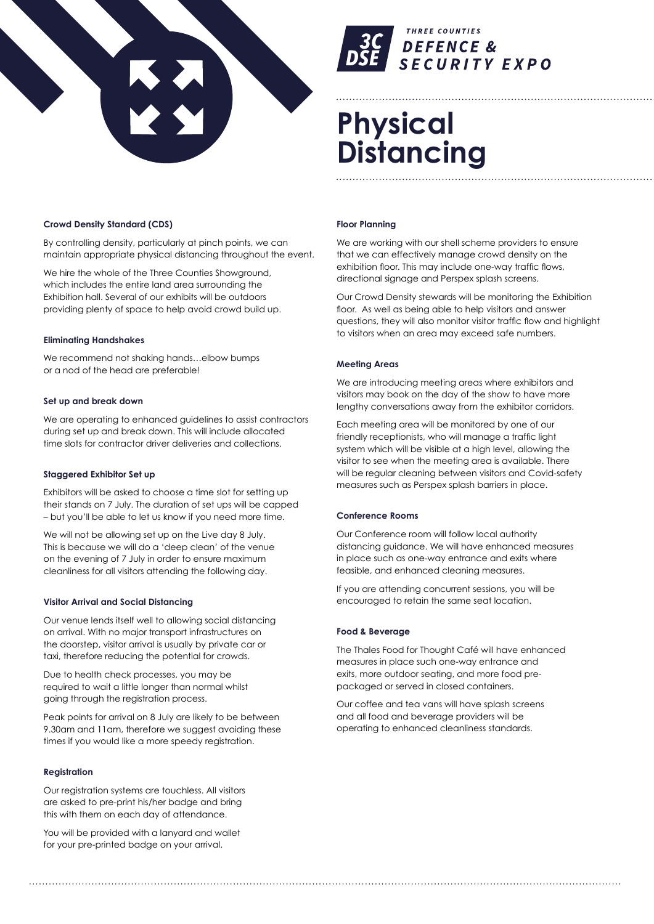



## **Physical Distancing**

#### **Crowd Density Standard (CDS)**

By controlling density, particularly at pinch points, we can maintain appropriate physical distancing throughout the event.

We hire the whole of the Three Counties Showground, which includes the entire land area surrounding the Exhibition hall. Several of our exhibits will be outdoors providing plenty of space to help avoid crowd build up.

#### **Eliminating Handshakes**

We recommend not shaking hands…elbow bumps or a nod of the head are preferable!

#### **Set up and break down**

We are operating to enhanced guidelines to assist contractors during set up and break down. This will include allocated time slots for contractor driver deliveries and collections.

#### **Staggered Exhibitor Set up**

Exhibitors will be asked to choose a time slot for setting up their stands on 7 July. The duration of set ups will be capped – but you'll be able to let us know if you need more time.

We will not be allowing set up on the Live day 8 July. This is because we will do a 'deep clean' of the venue on the evening of 7 July in order to ensure maximum cleanliness for all visitors attending the following day.

#### **Visitor Arrival and Social Distancing**

Our venue lends itself well to allowing social distancing on arrival. With no major transport infrastructures on the doorstep, visitor arrival is usually by private car or taxi, therefore reducing the potential for crowds.

Due to health check processes, you may be required to wait a little longer than normal whilst going through the registration process.

Peak points for arrival on 8 July are likely to be between 9.30am and 11am, therefore we suggest avoiding these times if you would like a more speedy registration.

#### **Registration**

Our registration systems are touchless. All visitors are asked to pre-print his/her badge and bring this with them on each day of attendance.

You will be provided with a lanyard and wallet for your pre-printed badge on your arrival.

#### **Floor Planning**

We are working with our shell scheme providers to ensure that we can effectively manage crowd density on the exhibition floor. This may include one-way traffic flows, directional signage and Perspex splash screens.

Our Crowd Density stewards will be monitoring the Exhibition floor. As well as being able to help visitors and answer questions, they will also monitor visitor traffic flow and highlight to visitors when an area may exceed safe numbers.

#### **Meeting Areas**

We are introducing meeting areas where exhibitors and visitors may book on the day of the show to have more lengthy conversations away from the exhibitor corridors.

Each meeting area will be monitored by one of our friendly receptionists, who will manage a traffic light system which will be visible at a high level, allowing the visitor to see when the meeting area is available. There will be regular cleaning between visitors and Covid-safety measures such as Perspex splash barriers in place.

#### **Conference Rooms**

Our Conference room will follow local authority distancing guidance. We will have enhanced measures in place such as one-way entrance and exits where feasible, and enhanced cleaning measures.

If you are attending concurrent sessions, you will be encouraged to retain the same seat location.

#### **Food & Beverage**

The Thales Food for Thought Café will have enhanced measures in place such one-way entrance and exits, more outdoor seating, and more food prepackaged or served in closed containers.

Our coffee and tea vans will have splash screens and all food and beverage providers will be operating to enhanced cleanliness standards.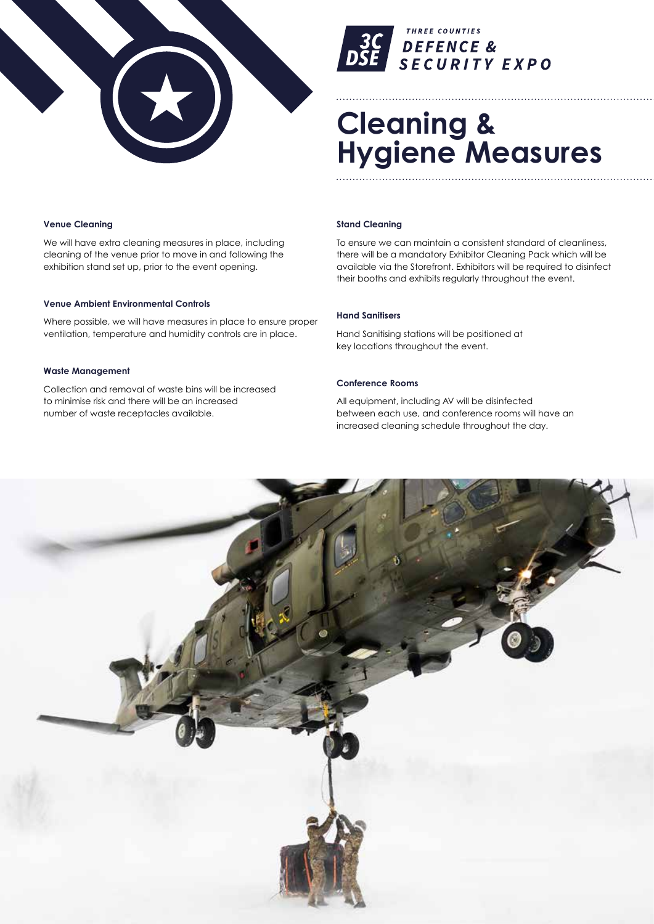



## **Cleaning & Hygiene Measures**

#### **Venue Cleaning**

We will have extra cleaning measures in place, including cleaning of the venue prior to move in and following the exhibition stand set up, prior to the event opening.

#### **Venue Ambient Environmental Controls**

Where possible, we will have measures in place to ensure proper ventilation, temperature and humidity controls are in place.

#### **Waste Management**

Collection and removal of waste bins will be increased to minimise risk and there will be an increased number of waste receptacles available.

#### **Stand Cleaning**

To ensure we can maintain a consistent standard of cleanliness, there will be a mandatory Exhibitor Cleaning Pack which will be available via the Storefront. Exhibitors will be required to disinfect their booths and exhibits regularly throughout the event.

#### **Hand Sanitisers**

Hand Sanitising stations will be positioned at key locations throughout the event.

#### **Conference Rooms**

All equipment, including AV will be disinfected between each use, and conference rooms will have an increased cleaning schedule throughout the day.

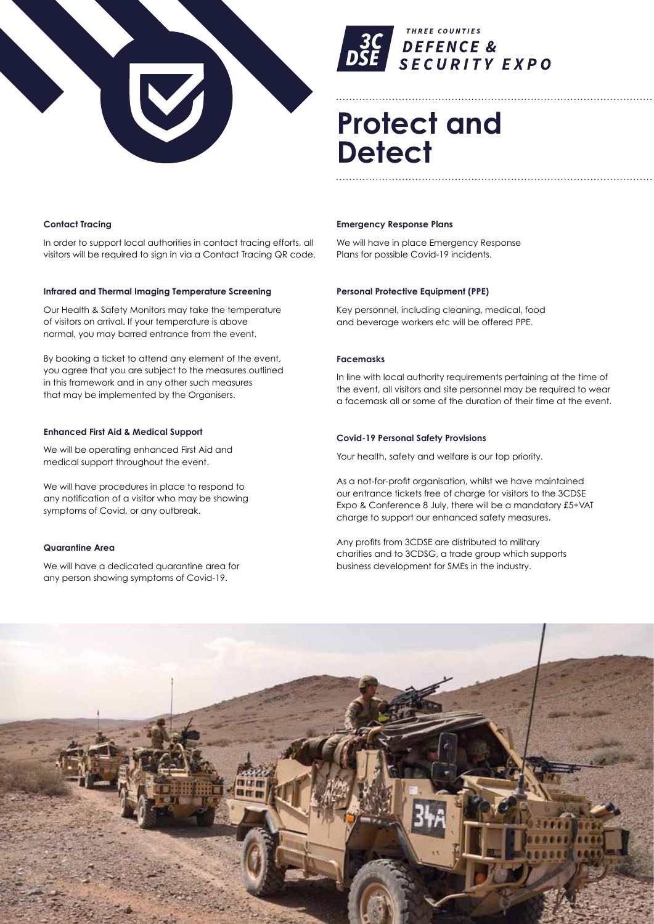



### **Protect and Detect**

#### **Contact Tracing**

In order to support local authorities in contact tracing efforts, all visitors will be required to sign in via a Contact Tracing QR code.

#### **Infrared and Thermal Imaging Temperature Screening**

Our Health & Safety Monitors may take the temperature of visitors on arrival. If your temperature is above normal, you may barred entrance from the event.

By booking a ticket to attend any element of the event, you agree that you are subject to the measures outlined in this framework and in any other such measures that may be implemented by the Organisers.

#### **Enhanced First Aid & Medical Support**

We will be operating enhanced First Aid and medical support throughout the event.

We will have procedures in place to respond to any notification of a visitor who may be showing symptoms of Covid, or any outbreak.

#### **Quarantine Area**

We will have a dedicated quarantine area for any person showing symptoms of Covid-19.

#### **Emergency Response Plans**

We will have in place Emergency Response Plans for possible Covid-19 incidents.

#### **Personal Protective Equipment (PPE)**

Key personnel, including cleaning, medical, food and beverage workers etc will be offered PPE.

#### **Facemasks**

In line with local authority requirements pertaining at the time of the event, all visitors and site personnel may be required to wear a facemask all or some of the duration of their time at the event.

#### **Covid-19 Personal Safety Provisions**

Your health, safety and welfare is our top priority.

As a not-for-profit organisation, whilst we have maintained our entrance tickets free of charge for visitors to the 3CDSE Expo & Conference 8 July, there will be a mandatory £5+VAT charge to support our enhanced safety measures.

Any profits from 3CDSE are distributed to military charities and to 3CDSG, a trade group which supports business development for SMEs in the industry.